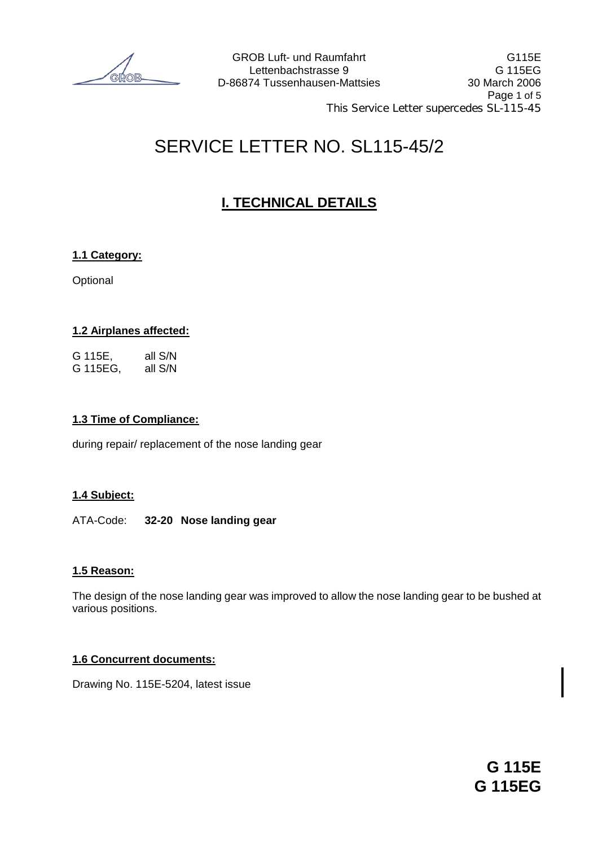# SERVICE LETTER NO. SL115-45/2

# **I. TECHNICAL DETAILS**

# **1.1 Category:**

**Optional** 

# **1.2 Airplanes affected:**

G 115E, all S/N G 115EG, all S/N

#### **1.3 Time of Compliance:**

during repair/ replacement of the nose landing gear

# **1.4 Subject:**

#### ATA-Code: **32-20 Nose landing gear**

# **1.5 Reason:**

The design of the nose landing gear was improved to allow the nose landing gear to be bushed at various positions.

# **1.6 Concurrent documents:**

Drawing No. 115E-5204, latest issue

**G 115E G 115EG**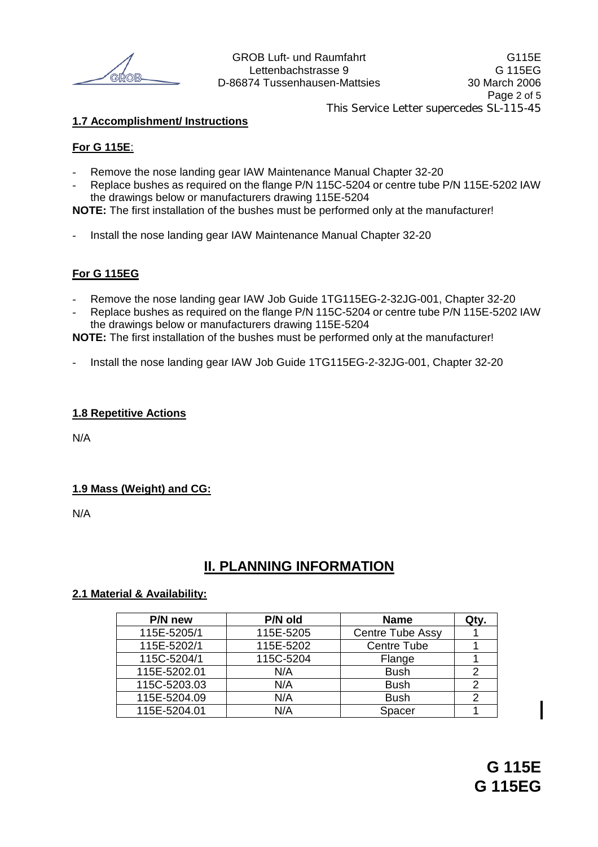Lettenbachstrasse 9 G 115EG Page 2 of 5 This Service Letter supercedes SL-115-45

### **1.7 Accomplishment/ Instructions**

#### **For G 115E**:

- Remove the nose landing gear IAW Maintenance Manual Chapter 32-20
- Replace bushes as required on the flange P/N 115C-5204 or centre tube P/N 115E-5202 IAW the drawings below or manufacturers drawing 115E-5204

**NOTE:** The first installation of the bushes must be performed only at the manufacturer!

Install the nose landing gear IAW Maintenance Manual Chapter 32-20

#### **For G 115EG**

- Remove the nose landing gear IAW Job Guide 1TG115EG-2-32JG-001, Chapter 32-20
- Replace bushes as required on the flange P/N 115C-5204 or centre tube P/N 115E-5202 IAW the drawings below or manufacturers drawing 115E-5204

**NOTE:** The first installation of the bushes must be performed only at the manufacturer!

Install the nose landing gear IAW Job Guide 1TG115EG-2-32JG-001, Chapter 32-20

#### **1.8 Repetitive Actions**

N/A

#### **1.9 Mass (Weight) and CG:**

N/A

# **II. PLANNING INFORMATION**

#### **2.1 Material & Availability:**

| P/N new      | P/N old   | <b>Name</b>        | Qty. |
|--------------|-----------|--------------------|------|
| 115E-5205/1  | 115E-5205 | Centre Tube Assy   |      |
| 115E-5202/1  | 115E-5202 | <b>Centre Tube</b> |      |
| 115C-5204/1  | 115C-5204 | Flange             |      |
| 115E-5202.01 | N/A       | <b>Bush</b>        | 2    |
| 115C-5203.03 | N/A       | <b>Bush</b>        |      |
| 115E-5204.09 | N/A       | <b>Bush</b>        | 2    |
| 115E-5204.01 | N/A       | Spacer             |      |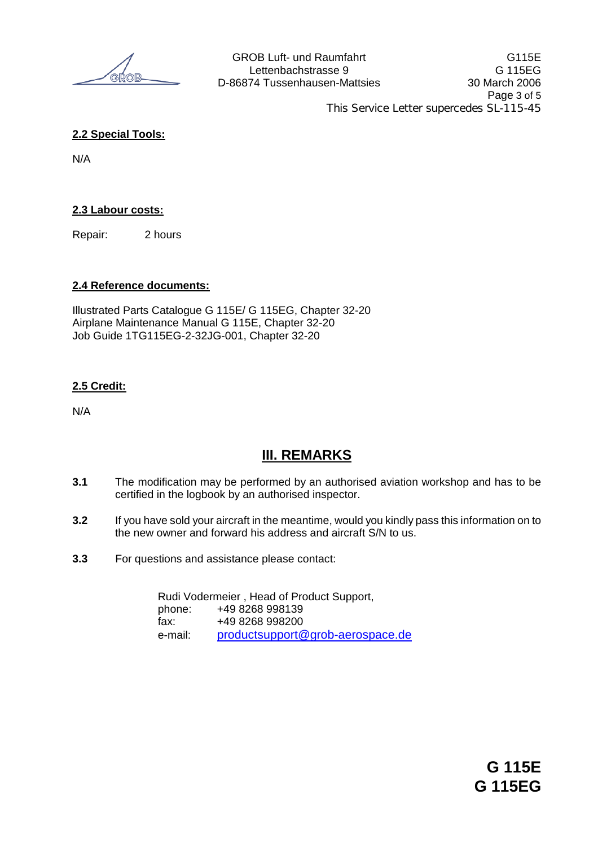### **2.2 Special Tools:**

N/A

#### **2.3 Labour costs:**

Repair: 2 hours

#### **2.4 Reference documents:**

Illustrated Parts Catalogue G 115E/ G 115EG, Chapter 32-20 Airplane Maintenance Manual G 115E, Chapter 32-20 Job Guide 1TG115EG-2-32JG-001, Chapter 32-20

#### **2.5 Credit:**

N/A

# **III. REMARKS**

- **3.1** The modification may be performed by an authorised aviation workshop and has to be certified in the logbook by an authorised inspector.
- **3.2** If you have sold your aircraft in the meantime, would you kindly pass this information on to the new owner and forward his address and aircraft S/N to us.
- **3.3** For questions and assistance please contact:

Rudi Vodermeier , Head of Product Support, phone: +49 8268 998139 fax: +49 8268 998200 e-mail: productsupport@grob-aerospace.de

> **G 115E G 115EG**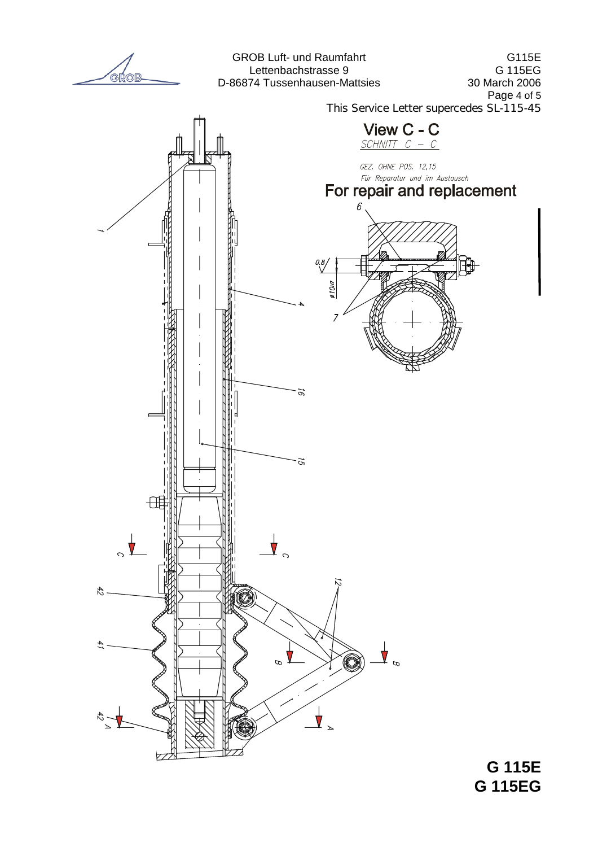

**G 115EG**